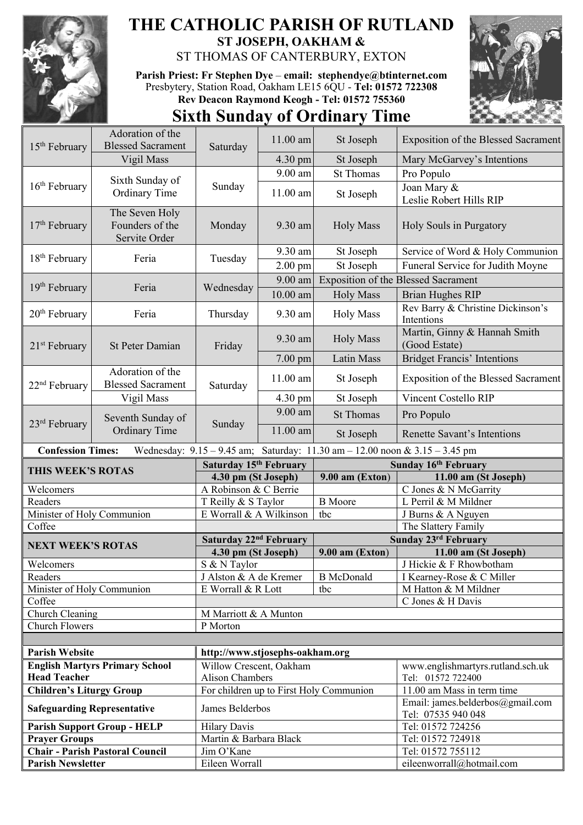

## **THE CATHOLIC PARISH OF RUTLAND ST JOSEPH, OAKHAM &**

ST THOMAS OF CANTERBURY, EXTON

**Parish Priest: Fr Stephen Dye** – **[email: stephendye@btinternet.com](mailto:email:%20%20stephendye@btinternet.com)** Presbytery, Station Road, Oakham LE15 6QU - **Tel: 01572 722308 Rev Deacon Raymond Keogh - Tel: 01572 755360**



## **Sixth Sunday of Ordinary Time**

| 15 <sup>th</sup> February            | Adoration of the<br><b>Blessed Sacrament</b>       | Saturday                                     | 11.00 am               | St Joseph                                                                   | <b>Exposition of the Blessed Sacrament</b>             |
|--------------------------------------|----------------------------------------------------|----------------------------------------------|------------------------|-----------------------------------------------------------------------------|--------------------------------------------------------|
|                                      | Vigil Mass                                         |                                              | 4.30 pm                | St Joseph                                                                   | Mary McGarvey's Intentions                             |
|                                      |                                                    |                                              | 9.00 am                | <b>St Thomas</b>                                                            | Pro Populo                                             |
| 16 <sup>th</sup> February            | Sixth Sunday of<br>Ordinary Time                   | Sunday                                       | 11.00 am               | St Joseph                                                                   | Joan Mary &<br>Leslie Robert Hills RIP                 |
| $17th$ February                      | The Seven Holy<br>Founders of the<br>Servite Order | Monday                                       | 9.30 am                | <b>Holy Mass</b>                                                            | Holy Souls in Purgatory                                |
|                                      | Feria                                              | Tuesday                                      | 9.30 am                | St Joseph                                                                   | Service of Word & Holy Communion                       |
| $18th$ February                      |                                                    |                                              | $2.00$ pm              | St Joseph                                                                   | Funeral Service for Judith Moyne                       |
| 19 <sup>th</sup> February            | Feria                                              | Wednesday                                    | 9.00 am                |                                                                             | <b>Exposition of the Blessed Sacrament</b>             |
|                                      |                                                    |                                              | $10.00$ am             | <b>Holy Mass</b>                                                            | <b>Brian Hughes RIP</b>                                |
| $20th$ February                      | Feria                                              | Thursday                                     | 9.30 am                | <b>Holy Mass</b>                                                            | Rev Barry & Christine Dickinson's<br>Intentions        |
| $21st$ February                      | <b>St Peter Damian</b>                             | Friday                                       | 9.30 am                | <b>Holy Mass</b>                                                            | Martin, Ginny & Hannah Smith<br>(Good Estate)          |
|                                      |                                                    |                                              | $7.00$ pm              | <b>Latin Mass</b>                                                           | <b>Bridget Francis' Intentions</b>                     |
| 22 <sup>nd</sup> February            | Adoration of the<br><b>Blessed Sacrament</b>       | Saturday                                     | 11.00 am               | St Joseph                                                                   | <b>Exposition of the Blessed Sacrament</b>             |
|                                      | Vigil Mass                                         |                                              | 4.30 pm                | St Joseph                                                                   | Vincent Costello RIP                                   |
| $23rd$ February                      | Seventh Sunday of<br><b>Ordinary Time</b>          | Sunday                                       | 9.00 am                | <b>St Thomas</b>                                                            | Pro Populo                                             |
|                                      |                                                    |                                              | 11.00 am               | St Joseph                                                                   | Renette Savant's Intentions                            |
| <b>Confession Times:</b>             |                                                    |                                              |                        | Wednesday: 9.15 - 9.45 am; Saturday: 11.30 am - 12.00 noon & 3.15 - 3.45 pm |                                                        |
| THIS WEEK'S ROTAS                    |                                                    |                                              | Saturday 15th February |                                                                             | Sunday 16th February                                   |
|                                      |                                                    |                                              |                        |                                                                             |                                                        |
|                                      |                                                    | 4.30 pm (St Joseph)                          |                        | $9.00$ am (Exton)                                                           | 11.00 am (St Joseph)                                   |
| Welcomers                            |                                                    | A Robinson & C Berrie                        |                        |                                                                             | C Jones & N McGarrity                                  |
| Readers                              |                                                    | T Reilly & S Taylor                          |                        | <b>B</b> Moore                                                              | L Perril & M Mildner                                   |
| Minister of Holy Communion           |                                                    | E Worrall & A Wilkinson                      |                        | tbc                                                                         | J Burns & A Nguyen                                     |
| Coffee                               |                                                    |                                              |                        |                                                                             | The Slattery Family                                    |
| <b>NEXT WEEK'S ROTAS</b>             |                                                    | Saturday 22 <sup>nd</sup> February           |                        |                                                                             | Sunday 23rd February                                   |
| Welcomers                            |                                                    | 4.30 pm (St Joseph)                          |                        | $9.00$ am (Exton)                                                           | 11.00 am (St Joseph)                                   |
| Readers                              |                                                    | S & N Taylor                                 |                        | <b>B</b> McDonald                                                           | J Hickie & F Rhowbotham                                |
|                                      |                                                    | J Alston & A de Kremer<br>E Worrall & R Lott |                        | tbc                                                                         | I Kearney-Rose & C Miller<br>M Hatton & M Mildner      |
| Minister of Holy Communion<br>Coffee |                                                    |                                              |                        |                                                                             | C Jones & H Davis                                      |
| Church Cleaning                      |                                                    | M Marriott & A Munton                        |                        |                                                                             |                                                        |
| <b>Church Flowers</b>                |                                                    | P Morton                                     |                        |                                                                             |                                                        |
|                                      |                                                    |                                              |                        |                                                                             |                                                        |
| <b>Parish Website</b>                |                                                    | http://www.stjosephs-oakham.org              |                        |                                                                             |                                                        |
|                                      | <b>English Martyrs Primary School</b>              | Willow Crescent, Oakham                      |                        |                                                                             | www.englishmartyrs.rutland.sch.uk                      |
| <b>Head Teacher</b>                  |                                                    | <b>Alison Chambers</b>                       |                        |                                                                             | Tel: 01572 722400                                      |
| <b>Children's Liturgy Group</b>      |                                                    |                                              |                        | For children up to First Holy Communion                                     | 11.00 am Mass in term time                             |
| <b>Safeguarding Representative</b>   |                                                    | James Belderbos                              |                        |                                                                             | Email: james.belderbos@gmail.com<br>Tel: 07535 940 048 |
|                                      | <b>Parish Support Group - HELP</b>                 | <b>Hilary Davis</b>                          |                        |                                                                             | Tel: 01572 724256                                      |
| <b>Prayer Groups</b>                 |                                                    | Martin & Barbara Black                       |                        |                                                                             | Tel: 01572 724918                                      |
| <b>Parish Newsletter</b>             | <b>Chair - Parish Pastoral Council</b>             | Jim O'Kane<br>Eileen Worrall                 |                        |                                                                             | Tel: 01572 755112<br>eileenworrall@hotmail.com         |